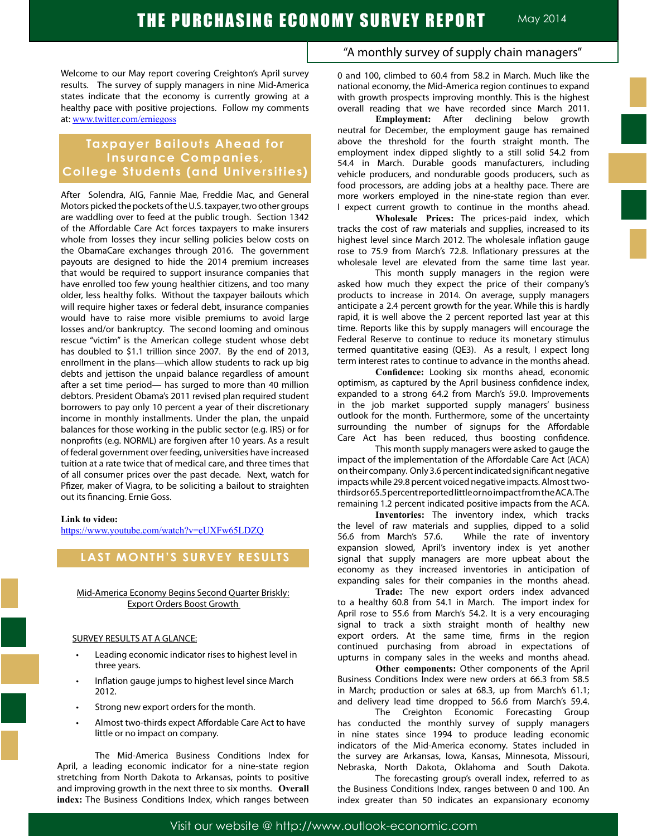Welcome to our May report covering Creighton's April survey results. The survey of supply managers in nine Mid-America states indicate that the economy is currently growing at a healthy pace with positive projections. Follow my comments at: www.twitter.com/erniegoss

# **Taxpayer Bailouts Ahead for Insurance Companies, College Students (and Universities)**

After Solendra, AIG, Fannie Mae, Freddie Mac, and General Motors picked the pockets of the U.S. taxpayer, two other groups are waddling over to feed at the public trough. Section 1342 of the Affordable Care Act forces taxpayers to make insurers whole from losses they incur selling policies below costs on the ObamaCare exchanges through 2016. The government payouts are designed to hide the 2014 premium increases that would be required to support insurance companies that have enrolled too few young healthier citizens, and too many older, less healthy folks. Without the taxpayer bailouts which will require higher taxes or federal debt, insurance companies would have to raise more visible premiums to avoid large losses and/or bankruptcy. The second looming and ominous rescue "victim" is the American college student whose debt has doubled to \$1.1 trillion since 2007. By the end of 2013, enrollment in the plans—which allow students to rack up big debts and jettison the unpaid balance regardless of amount after a set time period— has surged to more than 40 million debtors. President Obama's 2011 revised plan required student borrowers to pay only 10 percent a year of their discretionary income in monthly installments. Under the plan, the unpaid balances for those working in the public sector (e.g. IRS) or for nonprofits (e.g. NORML) are forgiven after 10 years. As a result of federal government over feeding, universities have increased tuition at a rate twice that of medical care, and three times that of all consumer prices over the past decade. Next, watch for Pfizer, maker of Viagra, to be soliciting a bailout to straighten out its financing. Ernie Goss.

#### **Link to video:**

https://www.youtube.com/watch?v=cUXFw65LDZQ

# **LAST MONTH'S SURVEY RESULTS**

### Mid-America Economy Begins Second Quarter Briskly: Export Orders Boost Growth

#### SURVEY RESULTS AT A GLANCE:

- Leading economic indicator rises to highest level in three years.
- Inflation gauge jumps to highest level since March 2012.
- Strong new export orders for the month.
- Almost two-thirds expect Affordable Care Act to have little or no impact on company.

The Mid-America Business Conditions Index for April, a leading economic indicator for a nine-state region stretching from North Dakota to Arkansas, points to positive and improving growth in the next three to six months. **Overall index:** The Business Conditions Index, which ranges between

# "A monthly survey of supply chain managers"

0 and 100, climbed to 60.4 from 58.2 in March. Much like the national economy, the Mid-America region continues to expand with growth prospects improving monthly. This is the highest overall reading that we have recorded since March 2011.

**Employment:** After declining below growth neutral for December, the employment gauge has remained above the threshold for the fourth straight month. The employment index dipped slightly to a still solid 54.2 from 54.4 in March. Durable goods manufacturers, including vehicle producers, and nondurable goods producers, such as food processors, are adding jobs at a healthy pace. There are more workers employed in the nine-state region than ever. I expect current growth to continue in the months ahead.

**Wholesale Prices:** The prices-paid index, which tracks the cost of raw materials and supplies, increased to its highest level since March 2012. The wholesale inflation gauge rose to 75.9 from March's 72.8. Inflationary pressures at the wholesale level are elevated from the same time last year.

This month supply managers in the region were asked how much they expect the price of their company's products to increase in 2014. On average, supply managers anticipate a 2.4 percent growth for the year. While this is hardly rapid, it is well above the 2 percent reported last year at this time. Reports like this by supply managers will encourage the Federal Reserve to continue to reduce its monetary stimulus termed quantitative easing (QE3). As a result, I expect long term interest rates to continue to advance in the months ahead.

 **Confidence:** Looking six months ahead, economic optimism, as captured by the April business confidence index, expanded to a strong 64.2 from March's 59.0. Improvements in the job market supported supply managers' business outlook for the month. Furthermore, some of the uncertainty surrounding the number of signups for the Affordable Care Act has been reduced, thus boosting confidence.

This month supply managers were asked to gauge the impact of the implementation of the Affordable Care Act (ACA) on their company. Only 3.6 percent indicated significant negative impacts while 29.8 percent voiced negative impacts. Almost twothirds or 65.5 percent reported little or no impact from the ACA. The remaining 1.2 percent indicated positive impacts from the ACA.

**Inventories:** The inventory index, which tracks the level of raw materials and supplies, dipped to a solid 56.6 from March's 57.6. While the rate of inventory expansion slowed, April's inventory index is yet another signal that supply managers are more upbeat about the economy as they increased inventories in anticipation of expanding sales for their companies in the months ahead.

**Trade:** The new export orders index advanced to a healthy 60.8 from 54.1 in March. The import index for April rose to 55.6 from March's 54.2. It is a very encouraging signal to track a sixth straight month of healthy new export orders. At the same time, firms in the region continued purchasing from abroad in expectations of upturns in company sales in the weeks and months ahead.

**Other components:** Other components of the April Business Conditions Index were new orders at 66.3 from 58.5 in March; production or sales at 68.3, up from March's 61.1; and delivery lead time dropped to 56.6 from March's 59.4.

The Creighton Economic Forecasting Group has conducted the monthly survey of supply managers in nine states since 1994 to produce leading economic indicators of the Mid-America economy. States included in the survey are Arkansas, Iowa, Kansas, Minnesota, Missouri, Nebraska, North Dakota, Oklahoma and South Dakota.

The forecasting group's overall index, referred to as the Business Conditions Index, ranges between 0 and 100. An index greater than 50 indicates an expansionary economy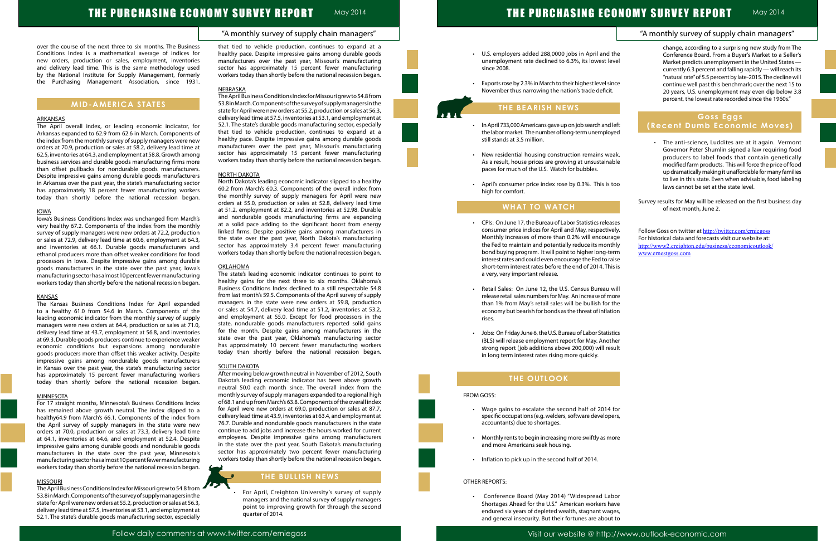# "A monthly survey of supply chain managers"

May 2014 **May 2014** 

# THE PURCHASING ECONOMY SURVEY REPORT

over the course of the next three to six months. The Business Conditions Index is a mathematical average of indices for new orders, production or sales, employment, inventories and delivery lead time. This is the same methodology used by the National Institute for Supply Management, formerly the Purchasing Management Association, since 1931.

### **MID-AMERICA STATES**

### ARKANSAS

The April overall index, or leading economic indicator, for Arkansas expanded to 62.9 from 62.6 in March. Components of the index from the monthly survey of supply managers were new orders at 70.9, production or sales at 58.2, delivery lead time at 62.5, inventories at 64.3, and employment at 58.8. Growth among business services and durable goods manufacturing firms more than offset pullbacks for nondurable goods manufacturers. Despite impressive gains among durable goods manufacturers in Arkansas over the past year, the state's manufacturing sector has approximately 18 percent fewer manufacturing workers today than shortly before the national recession began.

#### IOWA

Iowa's Business Conditions Index was unchanged from March's very healthy 67.2. Components of the index from the monthly survey of supply managers were new orders at 72.2, production or sales at 72.9, delivery lead time at 60.6, employment at 64.3, and inventories at 66.1. Durable goods manufacturers and ethanol producers more than offset weaker conditions for food processors in Iowa. Despite impressive gains among durable goods manufacturers in the state over the past year, Iowa's manufacturing sector has almost 10 percent fewer manufacturing workers today than shortly before the national recession began.

#### **KANSAS**

The Kansas Business Conditions Index for April expanded to a healthy 61.0 from 54.6 in March. Components of the leading economic indicator from the monthly survey of supply managers were new orders at 64.4, production or sales at 71.0, delivery lead time at 43.7, employment at 56.8, and inventories at 69.3. Durable goods producers continue to experience weaker economic conditions but expansions among nondurable goods producers more than offset this weaker activity. Despite impressive gains among nondurable goods manufacturers in Kansas over the past year, the state's manufacturing sector has approximately 15 percent fewer manufacturing workers today than shortly before the national recession began.

#### MINNESOTA

For 17 straight months, Minnesota's Business Conditions Index has remained above growth neutral. The index dipped to a healthy64.9 from March's 66.1. Components of the index from the April survey of supply managers in the state were new orders at 70.0, production or sales at 73.3, delivery lead time at 64.1, inventories at 64.6, and employment at 52.4. Despite impressive gains among durable goods and nondurable goods manufacturers in the state over the past year, Minnesota's manufacturing sector has almost 10 percent fewer manufacturing workers today than shortly before the national recession began.

### MISSOURI

The April Business Conditions Index for Missouri grew to 54.8 from 53.8 in March. Components of the survey of supply managers in the state for April were new orders at 55.2, production or sales at 56.3, delivery lead time at 57.5, inventories at 53.1, and employment at 52.1. The state's durable goods manufacturing sector, especially

For April, Creighton University's survey of supply managers and the national survey of supply managers point to improving growth for through the second quarter of 2014.

# May 2014 November 2004 November 2004 THE PURCHASING ECONOMY SURVEY REPORT

- U.S. employers added 288,0000 jobs in April and unemployment rate declined to 6.3%, its lowest le since 2008.
- Exports rose by 2.3% in March to their highest level sin November thus narrowing the nation's trade deficit

that tied to vehicle production, continues to expand at a healthy pace. Despite impressive gains among durable goods manufacturers over the past year, Missouri's manufacturing sector has approximately 15 percent fewer manufacturing workers today than shortly before the national recession began.

#### **NEBRASKA**

- In April 733,000 Americans gave up on job search and the labor market. The number of long-term unemplo still stands at 3.5 million.
- New residential housing construction remains we As a result, house prices are growing at unsustaina paces for much of the U.S. Watch for bubbles.
- April's consumer price index rose by 0.3%. This is high for comfort.

- CPIs: On June 17, the Bureau of Labor Statistics relea consumer price indices for April and May, respective Monthly increases of more than 0.2% will encoura the Fed to maintain and potentially reduce its mont bond buying program. It will point to higher long-te interest rates and could even encourage the Fed to r short-term interest rates before the end of 2014. Th a very, very important release.
- Retail Sales: On June 12, the U.S. Census Bureau release retail sales numbers for May. An increase of m than 1% from May's retail sales will be bullish for economy but bearish for bonds as the threat of inflat rises.
- Jobs: On Friday June 6, the U.S. Bureau of Labor Statis (BLS) will release employment report for May. Anot strong report (job additions above 200,000) will res in long term interest rates rising more quickly.

The April Business Conditions Index for Missouri grew to 54.8 from 53.8 in March. Components of the survey of supply managers in the state for April were new orders at 55.2, production or sales at 56.3, delivery lead time at 57.5, inventories at 53.1, and employment at 52.1. The state's durable goods manufacturing sector, especially that tied to vehicle production, continues to expand at a healthy pace. Despite impressive gains among durable goods manufacturers over the past year, Missouri's manufacturing sector has approximately 15 percent fewer manufacturing workers today than shortly before the national recession began.

- $\cdot$  Wage gains to escalate the second half of 2014 specific occupations (e.g. welders, software develop accountants) due to shortages.
- Monthly rents to begin increasing more swiftly as m and more Americans seek housing.
- • Inflation to pick up in the second half of 2014.

Conference Board (May 2014) "Widespread La Shortages Ahead for the U.S." American workers have endured six years of depleted wealth, stagnant wages, and general insecurity. But their fortunes are about to

#### NORTH DAKOTA

North Dakota's leading economic indicator slipped to a healthy 60.2 from March's 60.3. Components of the overall index from the monthly survey of supply managers for April were new orders at 55.0, production or sales at 52.8, delivery lead time at 51.2, employment at 82.2, and inventories at 52.98. Durable and nondurable goods manufacturing firms are expanding at a solid pace adding to the significant boost from energy linked firms. Despite positive gains among manufacturers in the state over the past year, North Dakota's manufacturing sector has approximately 3.4 percent fewer manufacturing workers today than shortly before the national recession began.

|                                      | "A monthly survey of supply chain managers"                                                                                                                                                                                                                                                                                                                                                                 |
|--------------------------------------|-------------------------------------------------------------------------------------------------------------------------------------------------------------------------------------------------------------------------------------------------------------------------------------------------------------------------------------------------------------------------------------------------------------|
| the<br>evel<br>ince                  | change, according to a surprising new study from The<br>Conference Board. From a Buyer's Market to a Seller's<br>Market predicts unemployment in the United States -<br>currently 6.3 percent and falling rapidly - will reach its<br>"natural rate" of 5.5 percent by late-2015. The decline will<br>continue well past this benchmark; over the next 15 to                                                |
| t.                                   | 20 years, U.S. unemployment may even dip below 3.8<br>percent, the lowest rate recorded since the 1960s."                                                                                                                                                                                                                                                                                                   |
| l left<br>yed                        | <b>Goss Eggs</b><br>(Recent Dumb Economic Moves)                                                                                                                                                                                                                                                                                                                                                            |
| eak.<br>able<br>too                  | The anti-science, Luddites are at it again. Vermont<br>$\bullet$<br>Governor Peter Shumlin signed a law requiring food<br>producers to label foods that contain genetically<br>modified farm products. This will force the price of food<br>up dramatically making it unaffordable for many families<br>to live in this state. Even when advisable, food labeling<br>laws cannot be set at the state level. |
|                                      | Survey results for May will be released on the first business day<br>of next month, June 2.                                                                                                                                                                                                                                                                                                                 |
| ases<br>ely.                         |                                                                                                                                                                                                                                                                                                                                                                                                             |
| age<br>thly<br>erm<br>aise<br>iis is | Follow Goss on twitter at http://twitter.com/erniegoss<br>For historical data and forecasts visit our website at:<br>http://www2.creighton.edu/business/economicoutlook/<br>www.ernestgoss.com                                                                                                                                                                                                              |
| will<br>าore                         |                                                                                                                                                                                                                                                                                                                                                                                                             |
| the<br>tion                          |                                                                                                                                                                                                                                                                                                                                                                                                             |
| stics<br>ther<br>sult                |                                                                                                                                                                                                                                                                                                                                                                                                             |
|                                      |                                                                                                                                                                                                                                                                                                                                                                                                             |
| for<br>ers,                          |                                                                                                                                                                                                                                                                                                                                                                                                             |
| ıore                                 |                                                                                                                                                                                                                                                                                                                                                                                                             |
| bor<br>ave                           |                                                                                                                                                                                                                                                                                                                                                                                                             |

### OKLAHOMA

The state's leading economic indicator continues to point to healthy gains for the next three to six months. Oklahoma's Business Conditions Index declined to a still respectable 54.8 from last month's 59.5. Components of the April survey of supply managers in the state were new orders at 59.8, production or sales at 54.7, delivery lead time at 51.2, inventories at 53.2, and employment at 55.0. Except for food processors in the state, nondurable goods manufacturers reported solid gains for the month. Despite gains among manufacturers in the state over the past year, Oklahoma's manufacturing sector has approximately 10 percent fewer manufacturing workers today than shortly before the national recession began.

#### **SOUTH DAKOTA**

After moving below growth neutral in November of 2012, South Dakota's leading economic indicator has been above growth neutral 50.0 each month since. The overall index from the monthly survey of supply managers expanded to a regional high of 68.1 and up from March's 63.8. Components of the overall index for April were new orders at 69.0, production or sales at 87.7, delivery lead time at 43.9, inventories at 63.4, and employment at 76.7. Durable and nondurable goods manufacturers in the state continue to add jobs and increase the hours worked for current employees. Despite impressive gains among manufacturers in the state over the past year, South Dakota's manufacturing sector has approximately two percent fewer manufacturing workers today than shortly before the national recession began.

# **THE BULLISH NEWS**

# **THE BEARISH NEWS**

# **WHAT TO WATCH**

# **THE OUTLOOK**

# FROM GOSS:

Ĩ

### OTHER REPORTS: